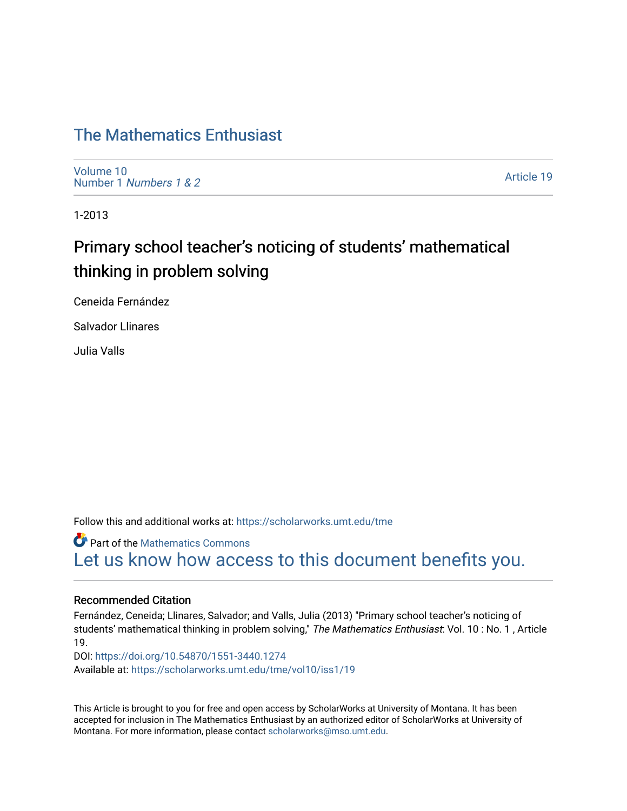## [The Mathematics Enthusiast](https://scholarworks.umt.edu/tme)

[Volume 10](https://scholarworks.umt.edu/tme/vol10) Number 1 [Numbers 1 & 2](https://scholarworks.umt.edu/tme/vol10/iss1)

[Article 19](https://scholarworks.umt.edu/tme/vol10/iss1/19) 

1-2013

# Primary school teacher's noticing of students' mathematical thinking in problem solving

Ceneida Fernández

Salvador Llinares

Julia Valls

Follow this and additional works at: [https://scholarworks.umt.edu/tme](https://scholarworks.umt.edu/tme?utm_source=scholarworks.umt.edu%2Ftme%2Fvol10%2Fiss1%2F19&utm_medium=PDF&utm_campaign=PDFCoverPages) 

**Part of the [Mathematics Commons](http://network.bepress.com/hgg/discipline/174?utm_source=scholarworks.umt.edu%2Ftme%2Fvol10%2Fiss1%2F19&utm_medium=PDF&utm_campaign=PDFCoverPages)** [Let us know how access to this document benefits you.](https://goo.gl/forms/s2rGfXOLzz71qgsB2) 

#### Recommended Citation

Fernández, Ceneida; Llinares, Salvador; and Valls, Julia (2013) "Primary school teacher's noticing of students' mathematical thinking in problem solving," The Mathematics Enthusiast: Vol. 10 : No. 1, Article 19.

DOI:<https://doi.org/10.54870/1551-3440.1274> Available at: [https://scholarworks.umt.edu/tme/vol10/iss1/19](https://scholarworks.umt.edu/tme/vol10/iss1/19?utm_source=scholarworks.umt.edu%2Ftme%2Fvol10%2Fiss1%2F19&utm_medium=PDF&utm_campaign=PDFCoverPages)

This Article is brought to you for free and open access by ScholarWorks at University of Montana. It has been accepted for inclusion in The Mathematics Enthusiast by an authorized editor of ScholarWorks at University of Montana. For more information, please contact [scholarworks@mso.umt.edu.](mailto:scholarworks@mso.umt.edu)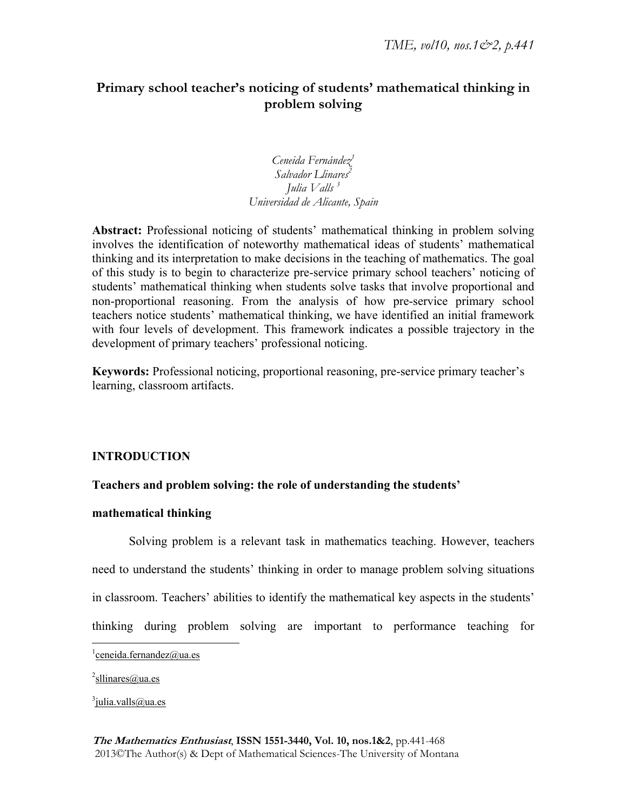## **Primary school teacher's noticing of students' mathematical thinking in problem solving**

*Ceneida Fernández1* Salvador Llinares<sup>2</sup> *Julia Valls 3 Universidad de Alicante, Spain* 

**Abstract:** Professional noticing of students' mathematical thinking in problem solving involves the identification of noteworthy mathematical ideas of students' mathematical thinking and its interpretation to make decisions in the teaching of mathematics. The goal of this study is to begin to characterize pre-service primary school teachers' noticing of students' mathematical thinking when students solve tasks that involve proportional and non-proportional reasoning. From the analysis of how pre-service primary school teachers notice students' mathematical thinking, we have identified an initial framework with four levels of development. This framework indicates a possible trajectory in the development of primary teachers' professional noticing.

**Keywords:** Professional noticing, proportional reasoning, pre-service primary teacher's learning, classroom artifacts.

### **INTRODUCTION**

### **Teachers and problem solving: the role of understanding the students'**

#### **mathematical thinking**

Solving problem is a relevant task in mathematics teaching. However, teachers need to understand the students' thinking in order to manage problem solving situations in classroom. Teachers' abilities to identify the mathematical key aspects in the students' thinking during problem solving are important to performance teaching for

 $\overline{a}$ 

<sup>3</sup>julia.valls@ua.es

 $\frac{1}{2}$ ceneida.fernandez@ua.es

<sup>&</sup>lt;sup>2</sup>sllinares@ua.es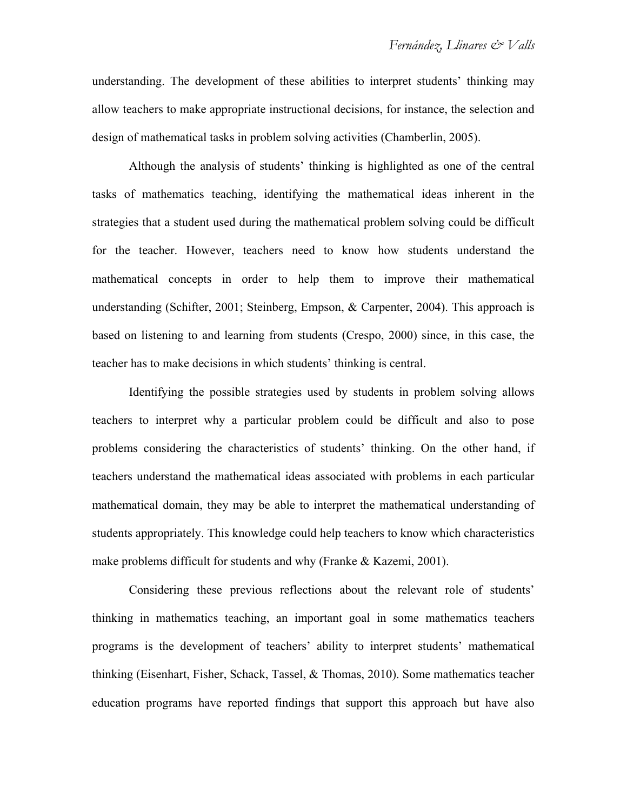understanding. The development of these abilities to interpret students' thinking may allow teachers to make appropriate instructional decisions, for instance, the selection and design of mathematical tasks in problem solving activities (Chamberlin, 2005).

Although the analysis of students' thinking is highlighted as one of the central tasks of mathematics teaching, identifying the mathematical ideas inherent in the strategies that a student used during the mathematical problem solving could be difficult for the teacher. However, teachers need to know how students understand the mathematical concepts in order to help them to improve their mathematical understanding (Schifter, 2001; Steinberg, Empson, & Carpenter, 2004). This approach is based on listening to and learning from students (Crespo, 2000) since, in this case, the teacher has to make decisions in which students' thinking is central.

Identifying the possible strategies used by students in problem solving allows teachers to interpret why a particular problem could be difficult and also to pose problems considering the characteristics of students' thinking. On the other hand, if teachers understand the mathematical ideas associated with problems in each particular mathematical domain, they may be able to interpret the mathematical understanding of students appropriately. This knowledge could help teachers to know which characteristics make problems difficult for students and why (Franke & Kazemi, 2001).

Considering these previous reflections about the relevant role of students' thinking in mathematics teaching, an important goal in some mathematics teachers programs is the development of teachers' ability to interpret students' mathematical thinking (Eisenhart, Fisher, Schack, Tassel, & Thomas, 2010). Some mathematics teacher education programs have reported findings that support this approach but have also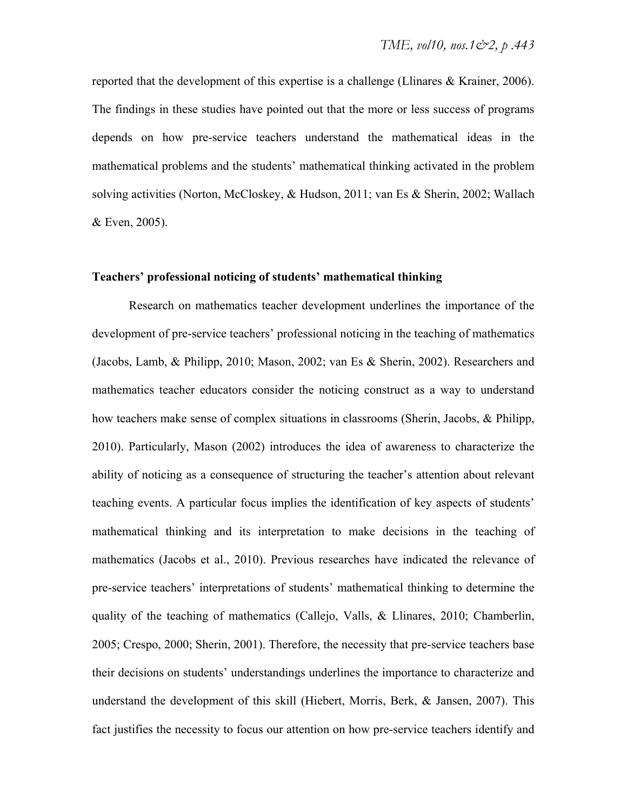reported that the development of this expertise is a challenge (Llinares & Krainer, 2006). The findings in these studies have pointed out that the more or less success of programs depends on how pre-service teachers understand the mathematical ideas in the mathematical problems and the students' mathematical thinking activated in the problem solving activities (Norton, McCloskey, & Hudson, 2011; van Es & Sherin, 2002; Wallach & Even, 2005).

#### **Teachers' professional noticing of students' mathematical thinking**

Research on mathematics teacher development underlines the importance of the development of pre-service teachers' professional noticing in the teaching of mathematics (Jacobs, Lamb, & Philipp, 2010; Mason, 2002; van Es & Sherin, 2002). Researchers and mathematics teacher educators consider the noticing construct as a way to understand how teachers make sense of complex situations in classrooms (Sherin, Jacobs, & Philipp, 2010). Particularly, Mason (2002) introduces the idea of awareness to characterize the ability of noticing as a consequence of structuring the teacher's attention about relevant teaching events. A particular focus implies the identification of key aspects of students' mathematical thinking and its interpretation to make decisions in the teaching of mathematics (Jacobs et al., 2010). Previous researches have indicated the relevance of pre-service teachers' interpretations of students' mathematical thinking to determine the quality of the teaching of mathematics (Callejo, Valls, & Llinares, 2010; Chamberlin, 2005; Crespo, 2000; Sherin, 2001). Therefore, the necessity that pre-service teachers base their decisions on students' understandings underlines the importance to characterize and understand the development of this skill (Hiebert, Morris, Berk, & Jansen, 2007). This fact justifies the necessity to focus our attention on how pre-service teachers identify and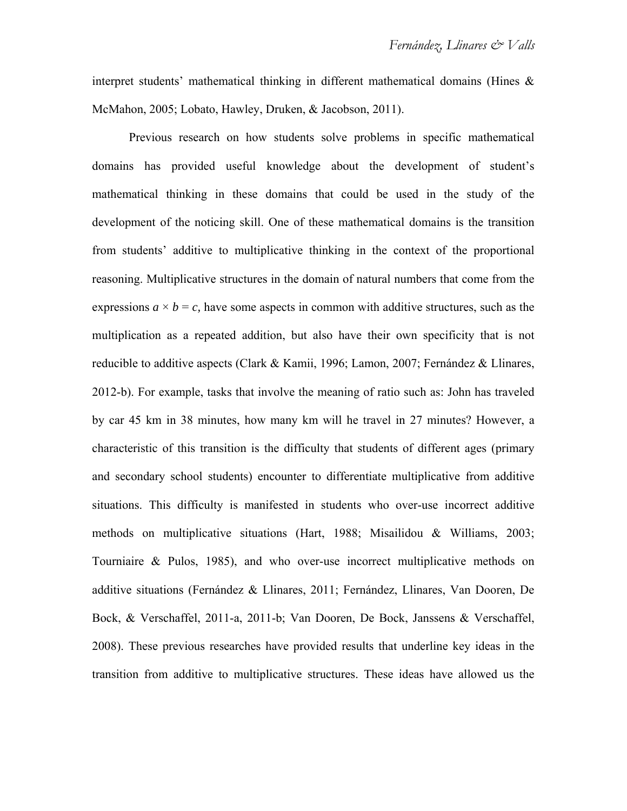interpret students' mathematical thinking in different mathematical domains (Hines & McMahon, 2005; Lobato, Hawley, Druken, & Jacobson, 2011).

Previous research on how students solve problems in specific mathematical domains has provided useful knowledge about the development of student's mathematical thinking in these domains that could be used in the study of the development of the noticing skill. One of these mathematical domains is the transition from students' additive to multiplicative thinking in the context of the proportional reasoning. Multiplicative structures in the domain of natural numbers that come from the expressions  $a \times b = c$ , have some aspects in common with additive structures, such as the multiplication as a repeated addition, but also have their own specificity that is not reducible to additive aspects (Clark & Kamii, 1996; Lamon, 2007; Fernández & Llinares, 2012-b). For example, tasks that involve the meaning of ratio such as: John has traveled by car 45 km in 38 minutes, how many km will he travel in 27 minutes? However, a characteristic of this transition is the difficulty that students of different ages (primary and secondary school students) encounter to differentiate multiplicative from additive situations. This difficulty is manifested in students who over-use incorrect additive methods on multiplicative situations (Hart, 1988; Misailidou & Williams, 2003; Tourniaire & Pulos, 1985), and who over-use incorrect multiplicative methods on additive situations (Fernández & Llinares, 2011; Fernández, Llinares, Van Dooren, De Bock, & Verschaffel, 2011-a, 2011-b; Van Dooren, De Bock, Janssens & Verschaffel, 2008). These previous researches have provided results that underline key ideas in the transition from additive to multiplicative structures. These ideas have allowed us the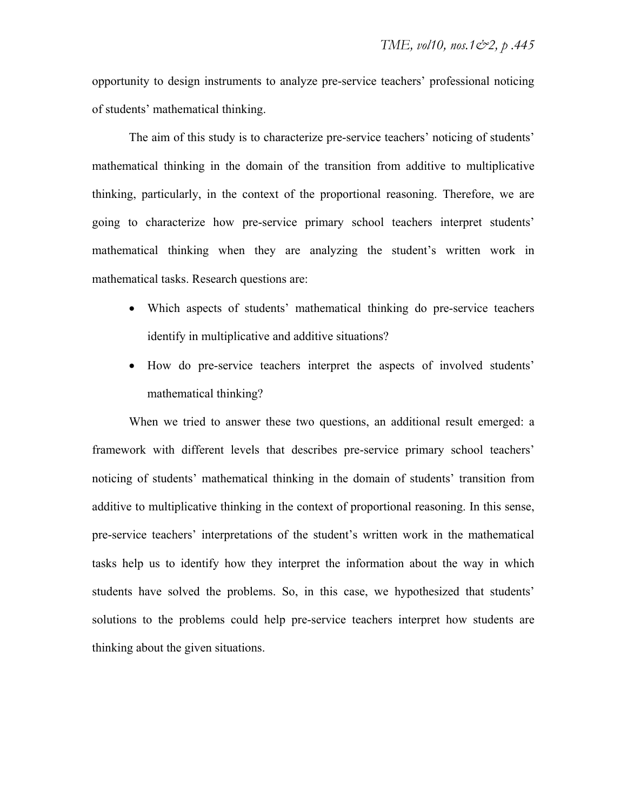opportunity to design instruments to analyze pre-service teachers' professional noticing of students' mathematical thinking.

The aim of this study is to characterize pre-service teachers' noticing of students' mathematical thinking in the domain of the transition from additive to multiplicative thinking, particularly, in the context of the proportional reasoning. Therefore, we are going to characterize how pre-service primary school teachers interpret students' mathematical thinking when they are analyzing the student's written work in mathematical tasks. Research questions are:

- Which aspects of students' mathematical thinking do pre-service teachers identify in multiplicative and additive situations?
- How do pre-service teachers interpret the aspects of involved students' mathematical thinking?

When we tried to answer these two questions, an additional result emerged: a framework with different levels that describes pre-service primary school teachers' noticing of students' mathematical thinking in the domain of students' transition from additive to multiplicative thinking in the context of proportional reasoning. In this sense, pre-service teachers' interpretations of the student's written work in the mathematical tasks help us to identify how they interpret the information about the way in which students have solved the problems. So, in this case, we hypothesized that students' solutions to the problems could help pre-service teachers interpret how students are thinking about the given situations.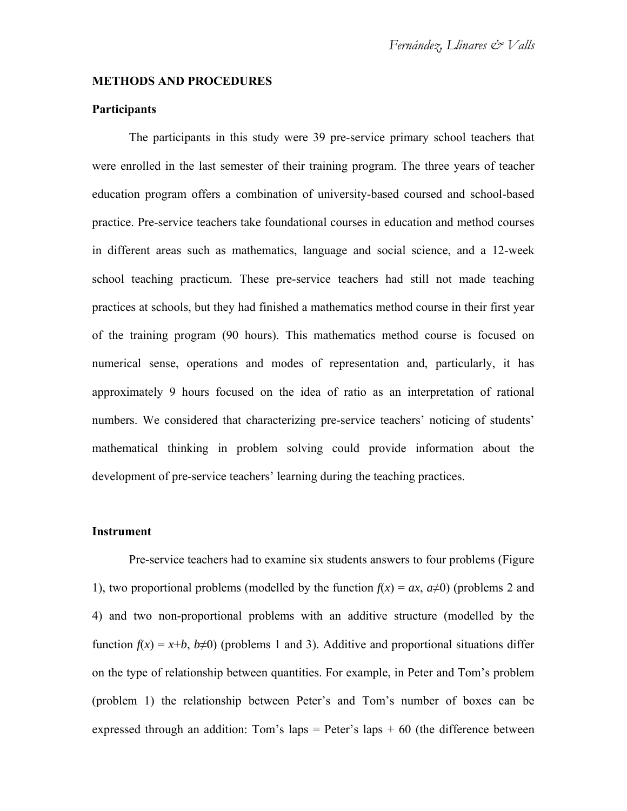#### **METHODS AND PROCEDURES**

#### **Participants**

The participants in this study were 39 pre-service primary school teachers that were enrolled in the last semester of their training program. The three years of teacher education program offers a combination of university-based coursed and school-based practice. Pre-service teachers take foundational courses in education and method courses in different areas such as mathematics, language and social science, and a 12-week school teaching practicum. These pre-service teachers had still not made teaching practices at schools, but they had finished a mathematics method course in their first year of the training program (90 hours). This mathematics method course is focused on numerical sense, operations and modes of representation and, particularly, it has approximately 9 hours focused on the idea of ratio as an interpretation of rational numbers. We considered that characterizing pre-service teachers' noticing of students' mathematical thinking in problem solving could provide information about the development of pre-service teachers' learning during the teaching practices.

#### **Instrument**

Pre-service teachers had to examine six students answers to four problems (Figure 1), two proportional problems (modelled by the function  $f(x) = ax$ ,  $a\neq 0$ ) (problems 2 and 4) and two non-proportional problems with an additive structure (modelled by the function  $f(x) = x+b$ ,  $b\neq 0$ ) (problems 1 and 3). Additive and proportional situations differ on the type of relationship between quantities. For example, in Peter and Tom's problem (problem 1) the relationship between Peter's and Tom's number of boxes can be expressed through an addition: Tom's laps = Peter's laps  $+60$  (the difference between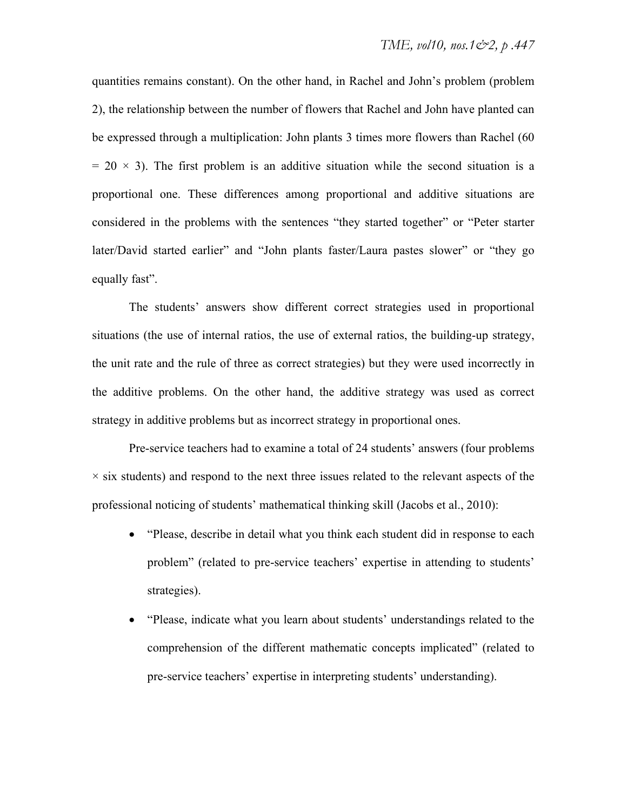quantities remains constant). On the other hand, in Rachel and John's problem (problem 2), the relationship between the number of flowers that Rachel and John have planted can be expressed through a multiplication: John plants 3 times more flowers than Rachel (60  $= 20 \times 3$ ). The first problem is an additive situation while the second situation is a proportional one. These differences among proportional and additive situations are considered in the problems with the sentences "they started together" or "Peter starter later/David started earlier" and "John plants faster/Laura pastes slower" or "they go equally fast".

The students' answers show different correct strategies used in proportional situations (the use of internal ratios, the use of external ratios, the building-up strategy, the unit rate and the rule of three as correct strategies) but they were used incorrectly in the additive problems. On the other hand, the additive strategy was used as correct strategy in additive problems but as incorrect strategy in proportional ones.

Pre-service teachers had to examine a total of 24 students' answers (four problems  $\times$  six students) and respond to the next three issues related to the relevant aspects of the professional noticing of students' mathematical thinking skill (Jacobs et al., 2010):

- "Please, describe in detail what you think each student did in response to each problem" (related to pre-service teachers' expertise in attending to students' strategies).
- "Please, indicate what you learn about students' understandings related to the comprehension of the different mathematic concepts implicated" (related to pre-service teachers' expertise in interpreting students' understanding).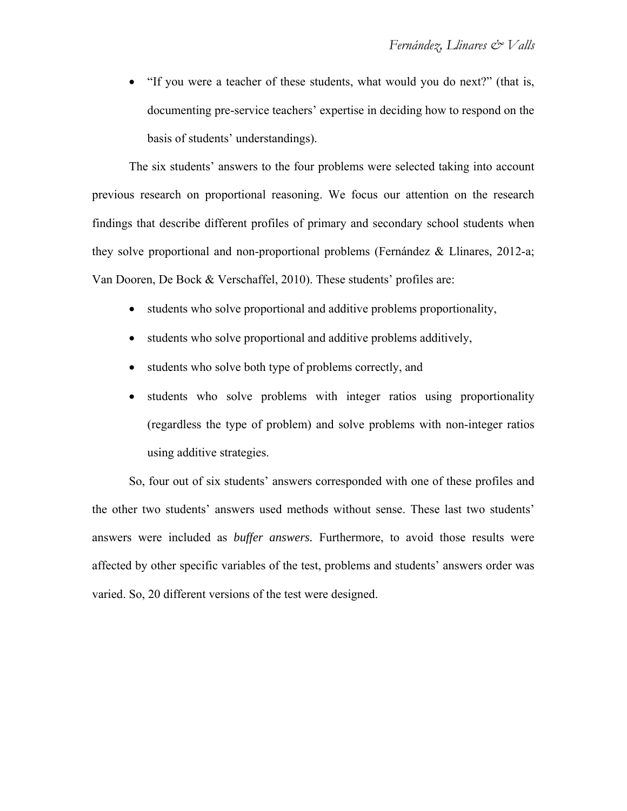"If you were a teacher of these students, what would you do next?" (that is, documenting pre-service teachers' expertise in deciding how to respond on the basis of students' understandings).

The six students' answers to the four problems were selected taking into account previous research on proportional reasoning. We focus our attention on the research findings that describe different profiles of primary and secondary school students when they solve proportional and non-proportional problems (Fernández & Llinares, 2012-a; Van Dooren, De Bock & Verschaffel, 2010). These students' profiles are:

- students who solve proportional and additive problems proportionality,
- students who solve proportional and additive problems additively,
- students who solve both type of problems correctly, and
- students who solve problems with integer ratios using proportionality (regardless the type of problem) and solve problems with non-integer ratios using additive strategies.

So, four out of six students' answers corresponded with one of these profiles and the other two students' answers used methods without sense. These last two students' answers were included as *buffer answers.* Furthermore, to avoid those results were affected by other specific variables of the test, problems and students' answers order was varied. So, 20 different versions of the test were designed.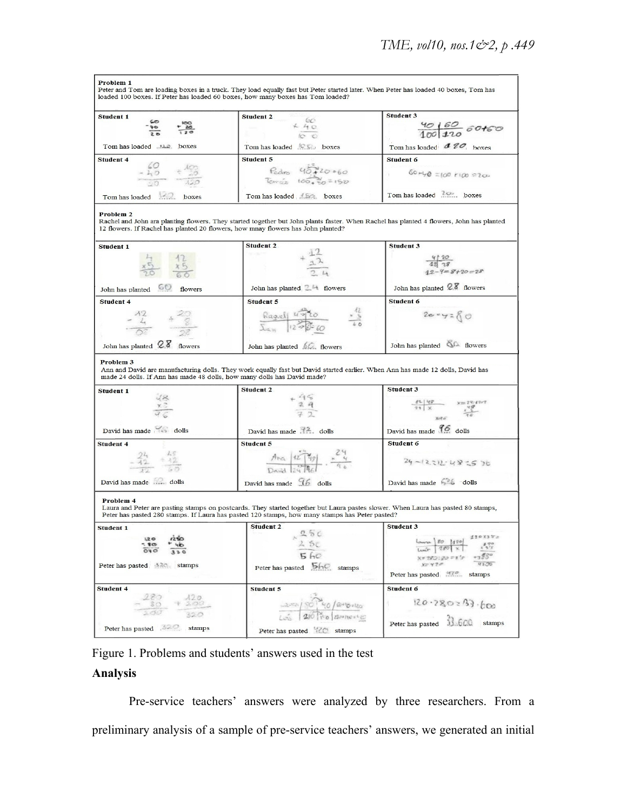| Problem 1                                                                        |                                                                                                                                         |                                                |
|----------------------------------------------------------------------------------|-----------------------------------------------------------------------------------------------------------------------------------------|------------------------------------------------|
| loaded 100 boxes. If Peter has loaded 60 boxes, how many boxes has Tom loaded?   | Peter and Tom are loading boxes in a truck. They load equally fast but Peter started later. When Peter has loaded 40 boxes, Tom has     |                                                |
|                                                                                  |                                                                                                                                         |                                                |
| <b>Student 1</b>                                                                 | <b>Student 2</b>                                                                                                                        | <b>Student 3</b>                               |
|                                                                                  | $\begin{array}{r} 60 \\ + 40 \\ \hline 10 \\ \hline 10 \\ \end{array}$                                                                  |                                                |
|                                                                                  |                                                                                                                                         | $\frac{40160}{1001100}$ 60t60                  |
| Tom has loaded  the boxes                                                        | Tom has loaded C.C. boxes                                                                                                               | Tom has loaded $470$ , hoxes                   |
|                                                                                  |                                                                                                                                         |                                                |
| <b>Student 4</b>                                                                 | <b>Student 5</b>                                                                                                                        | <b>Student 6</b>                               |
| $-40 + 40$                                                                       | $Redro = 467420.060$<br>Temás 100,00=150                                                                                                | $60 + 0 = 100 + 100 = 200$                     |
|                                                                                  |                                                                                                                                         |                                                |
| Tom has loaded boxes                                                             |                                                                                                                                         | Tom has loaded 20%, boxes                      |
|                                                                                  | Tom has loaded AS2. boxes                                                                                                               |                                                |
| Problem 2                                                                        |                                                                                                                                         |                                                |
|                                                                                  | Rachel and John ara planting flowers. They started together but John plants faster. When Rachel has planted 4 flowers, John has planted |                                                |
| 12 flowers. If Rachel has planted 20 flowers, how mnay flowers has John planted? |                                                                                                                                         |                                                |
|                                                                                  |                                                                                                                                         |                                                |
| <b>Student 1</b>                                                                 | <b>Student 2</b>                                                                                                                        | <b>Student 3</b>                               |
|                                                                                  | $+\frac{1}{12}$                                                                                                                         |                                                |
|                                                                                  |                                                                                                                                         | $\frac{4}{12}$ $\frac{10}{18}$<br>12-4=8+20=28 |
|                                                                                  |                                                                                                                                         |                                                |
| John has planted 60<br>flowers                                                   | John has planted 24 flowers                                                                                                             | John has planted 28 flowers                    |
| <b>Student 4</b>                                                                 | <b>Student 5</b>                                                                                                                        | Student 6                                      |
|                                                                                  |                                                                                                                                         |                                                |
| $-\frac{12}{4} + \frac{12}{8}$                                                   | $\frac{Ragx}{\sum_{\alpha}u}$ $\frac{u\sqrt{2}}{2\sqrt{2}}\frac{u\sqrt{2}}{60}$ $\frac{u}{60}$                                          | $2e - y = 80$                                  |
|                                                                                  |                                                                                                                                         |                                                |
|                                                                                  |                                                                                                                                         |                                                |
| John has planted 2.8 flowers                                                     | John has planted 60. flowers                                                                                                            | John has planted & flowers                     |
|                                                                                  |                                                                                                                                         |                                                |
| Problem 3                                                                        |                                                                                                                                         |                                                |
| made 24 dolls. If Ann has made 48 dolls, how many dolls has David made?          | Ann and David are manufacturing dolls. They work equally fast but David started earlier. When Ann has made 12 dolls, David has          |                                                |
|                                                                                  |                                                                                                                                         |                                                |
| <b>Student 1</b>                                                                 | <b>Student 2</b>                                                                                                                        | <b>Student 3</b>                               |
| $rac{1}{x^{2}}$                                                                  |                                                                                                                                         | $\frac{49}{71} \times \frac{99}{11}$           |
|                                                                                  | $+\frac{4}{3}\frac{6}{4}$                                                                                                               |                                                |
|                                                                                  |                                                                                                                                         |                                                |
| David has made                                                                   |                                                                                                                                         | David has made 96 dolls                        |
| Student 4                                                                        | <b>Student 5</b>                                                                                                                        | <b>Student 6</b>                               |
|                                                                                  |                                                                                                                                         |                                                |
| $\frac{24}{12} \div \frac{15}{12}$                                               | Ana $\frac{42}{9}$<br>David 2018c $\frac{24}{9}$                                                                                        | $24 - (2312 - 48 - 5)6$                        |
|                                                                                  |                                                                                                                                         |                                                |
| David has made and dolls                                                         | David has made $96$ dolls                                                                                                               | David has made 5% dolls                        |
|                                                                                  |                                                                                                                                         |                                                |
| Problem 4                                                                        |                                                                                                                                         |                                                |
|                                                                                  | Laura and Peter are pasting stamps on postcards. They started together but Laura pastes slower. When Laura has pasted 80 stamps,        |                                                |
|                                                                                  | Peter has pasted 280 stamps. If Laura has pasted 120 stamps, how many stamps has Peter pasted?                                          |                                                |
| Student 1                                                                        | <b>Student 2</b>                                                                                                                        | <b>Student 3</b>                               |
| 1,20                                                                             | 250                                                                                                                                     | 120x3xz<br>James 80 1120                       |
|                                                                                  | 2 Sc                                                                                                                                    |                                                |
|                                                                                  | 5 <sub>6</sub>                                                                                                                          | X= 780 : 90 = 3's                              |
| Peter has pasted a 20 stamps                                                     | Peter has pasted <b>bhc</b> stamps                                                                                                      | 42,00<br>$v = 420$                             |
|                                                                                  |                                                                                                                                         | Peter has pasted stamps                        |
| Student 4                                                                        | <b>Student 5</b>                                                                                                                        | Student 6                                      |
|                                                                                  |                                                                                                                                         |                                                |
| $ \frac{180}{30}$ + $\frac{120}{200}$                                            | 2000/ SO 40/@"Dollo                                                                                                                     | 120.280:33.600                                 |
|                                                                                  |                                                                                                                                         |                                                |
|                                                                                  |                                                                                                                                         | Peter has pasted 33.600 stamps                 |
| Peter has pasted stamps                                                          | Peter has pasted <b>120</b> stamps                                                                                                      |                                                |

Figure 1. Problems and students' answers used in the test

## **Analysis**

Pre-service teachers' answers were analyzed by three researchers. From a preliminary analysis of a sample of pre-service teachers' answers, we generated an initial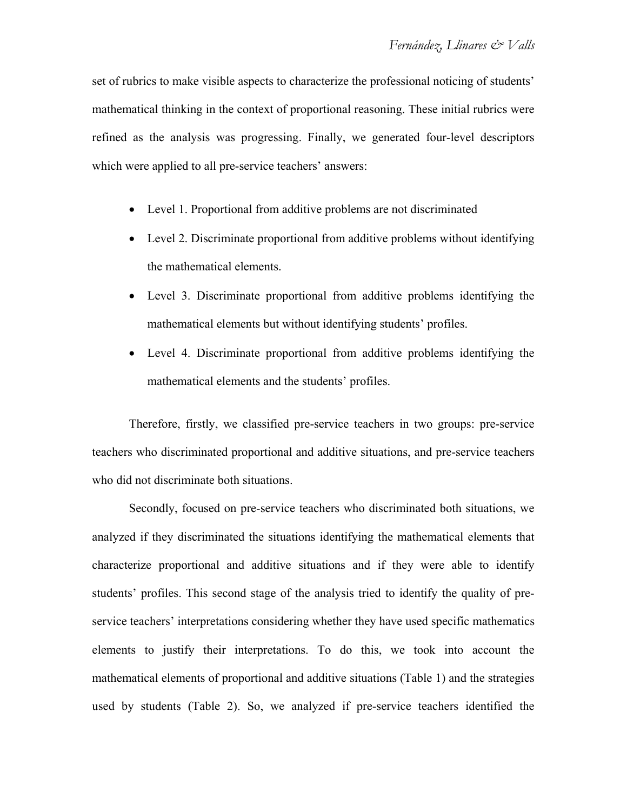set of rubrics to make visible aspects to characterize the professional noticing of students' mathematical thinking in the context of proportional reasoning. These initial rubrics were refined as the analysis was progressing. Finally, we generated four-level descriptors which were applied to all pre-service teachers' answers:

- Level 1. Proportional from additive problems are not discriminated
- Level 2. Discriminate proportional from additive problems without identifying the mathematical elements.
- Level 3. Discriminate proportional from additive problems identifying the mathematical elements but without identifying students' profiles.
- Level 4. Discriminate proportional from additive problems identifying the mathematical elements and the students' profiles.

Therefore, firstly, we classified pre-service teachers in two groups: pre-service teachers who discriminated proportional and additive situations, and pre-service teachers who did not discriminate both situations.

Secondly, focused on pre-service teachers who discriminated both situations, we analyzed if they discriminated the situations identifying the mathematical elements that characterize proportional and additive situations and if they were able to identify students' profiles. This second stage of the analysis tried to identify the quality of preservice teachers' interpretations considering whether they have used specific mathematics elements to justify their interpretations. To do this, we took into account the mathematical elements of proportional and additive situations (Table 1) and the strategies used by students (Table 2). So, we analyzed if pre-service teachers identified the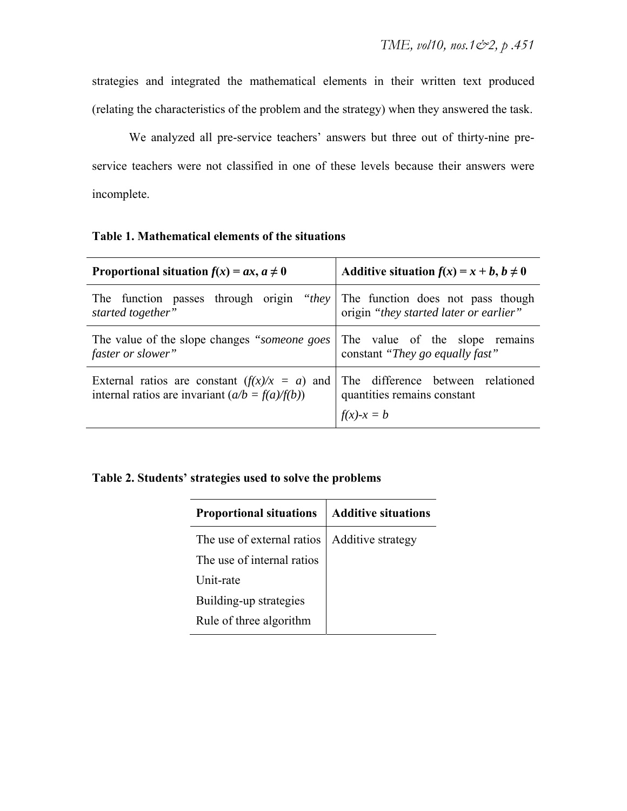strategies and integrated the mathematical elements in their written text produced (relating the characteristics of the problem and the strategy) when they answered the task.

We analyzed all pre-service teachers' answers but three out of thirty-nine preservice teachers were not classified in one of these levels because their answers were incomplete.

|  |  | Table 1. Mathematical elements of the situations |  |  |  |
|--|--|--------------------------------------------------|--|--|--|
|--|--|--------------------------------------------------|--|--|--|

| Proportional situation $f(x) = ax, a \neq 0$                                                         | Additive situation $f(x) = x + b, b \ne 0$                                                |  |  |  |
|------------------------------------------------------------------------------------------------------|-------------------------------------------------------------------------------------------|--|--|--|
| through origin<br>The function passes<br>started together"                                           | " <i>they</i> The function does not pass though<br>origin "they started later or earlier" |  |  |  |
| The value of the slope changes "someone goes<br>faster or slower"                                    | The value of the slope remains<br>constant "They go equally fast"                         |  |  |  |
| External ratios are constant $(f(x)/x = a)$ and<br>internal ratios are invariant $(a/b = f(a)/f(b))$ | The difference between relationed<br>quantities remains constant                          |  |  |  |
|                                                                                                      | $f(x)-x = b$                                                                              |  |  |  |

### **Table 2. Students' strategies used to solve the problems**

| <b>Proportional situations</b> | <b>Additive situations</b> |
|--------------------------------|----------------------------|
| The use of external ratios     | Additive strategy          |
| The use of internal ratios     |                            |
| Unit-rate                      |                            |
| Building-up strategies         |                            |
| Rule of three algorithm        |                            |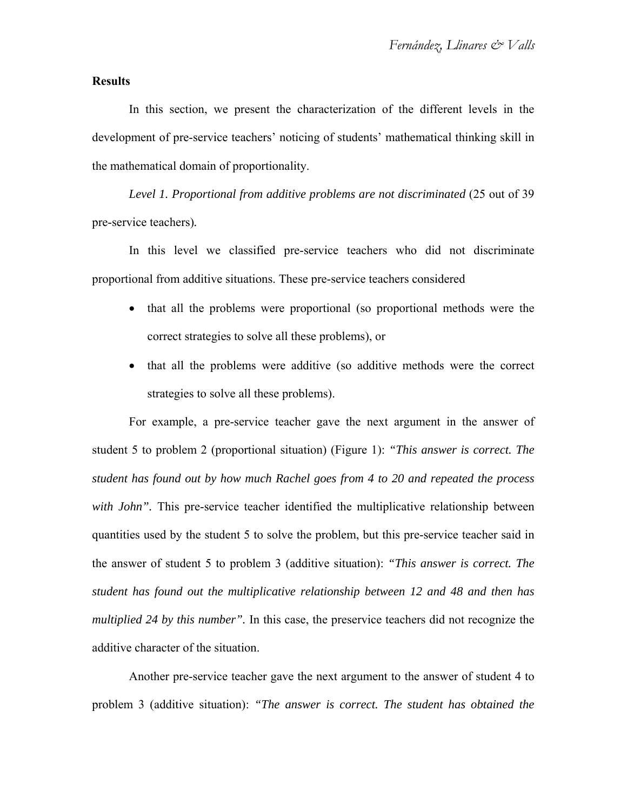#### **Results**

In this section, we present the characterization of the different levels in the development of pre-service teachers' noticing of students' mathematical thinking skill in the mathematical domain of proportionality.

*Level 1. Proportional from additive problems are not discriminated* (25 out of 39 pre-service teachers)*.* 

In this level we classified pre-service teachers who did not discriminate proportional from additive situations. These pre-service teachers considered

- that all the problems were proportional (so proportional methods were the correct strategies to solve all these problems), or
- that all the problems were additive (so additive methods were the correct strategies to solve all these problems).

For example, a pre-service teacher gave the next argument in the answer of student 5 to problem 2 (proportional situation) (Figure 1): *"This answer is correct. The student has found out by how much Rachel goes from 4 to 20 and repeated the process*  with *John*". This pre-service teacher identified the multiplicative relationship between quantities used by the student 5 to solve the problem, but this pre-service teacher said in the answer of student 5 to problem 3 (additive situation): *"This answer is correct. The student has found out the multiplicative relationship between 12 and 48 and then has multiplied 24 by this number".* In this case, the preservice teachers did not recognize the additive character of the situation.

Another pre-service teacher gave the next argument to the answer of student 4 to problem 3 (additive situation): *"The answer is correct. The student has obtained the*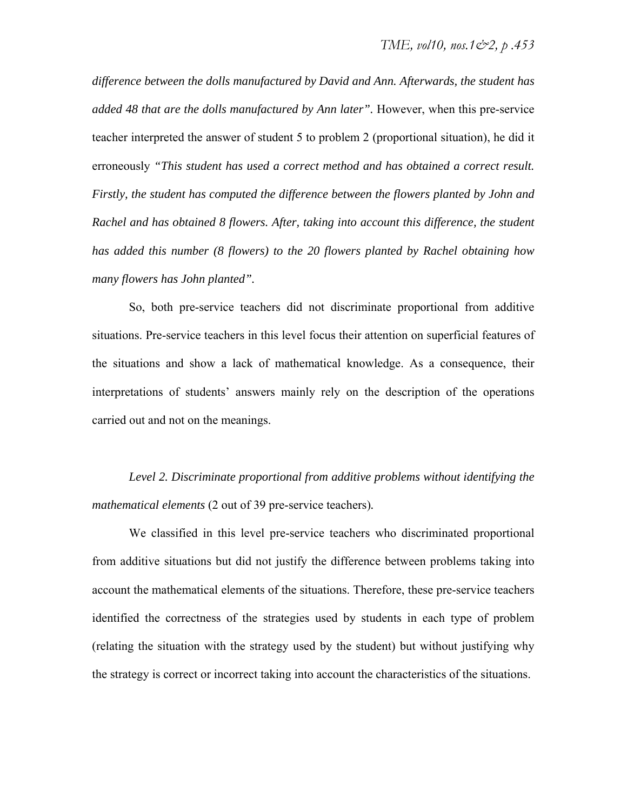*difference between the dolls manufactured by David and Ann. Afterwards, the student has added 48 that are the dolls manufactured by Ann later".* However, when this pre-service teacher interpreted the answer of student 5 to problem 2 (proportional situation), he did it erroneously *"This student has used a correct method and has obtained a correct result. Firstly, the student has computed the difference between the flowers planted by John and Rachel and has obtained 8 flowers. After, taking into account this difference, the student has added this number (8 flowers) to the 20 flowers planted by Rachel obtaining how many flowers has John planted".*

So, both pre-service teachers did not discriminate proportional from additive situations. Pre-service teachers in this level focus their attention on superficial features of the situations and show a lack of mathematical knowledge. As a consequence, their interpretations of students' answers mainly rely on the description of the operations carried out and not on the meanings.

*Level 2. Discriminate proportional from additive problems without identifying the mathematical elements* (2 out of 39 pre-service teachers)*.* 

We classified in this level pre-service teachers who discriminated proportional from additive situations but did not justify the difference between problems taking into account the mathematical elements of the situations. Therefore, these pre-service teachers identified the correctness of the strategies used by students in each type of problem (relating the situation with the strategy used by the student) but without justifying why the strategy is correct or incorrect taking into account the characteristics of the situations.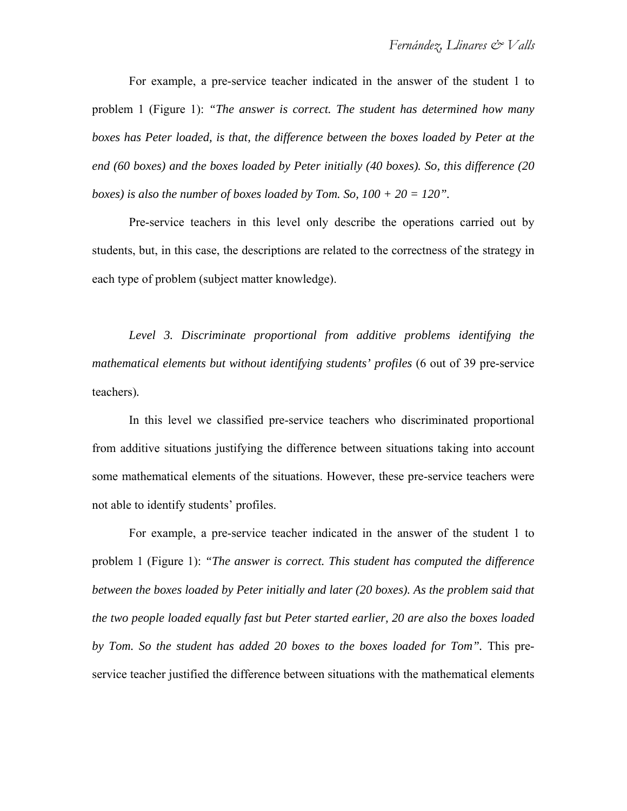For example, a pre-service teacher indicated in the answer of the student 1 to problem 1 (Figure 1): *"The answer is correct. The student has determined how many boxes has Peter loaded, is that, the difference between the boxes loaded by Peter at the end (60 boxes) and the boxes loaded by Peter initially (40 boxes). So, this difference (20 boxes) is also the number of boxes loaded by Tom. So,*  $100 + 20 = 120$ *".* 

Pre-service teachers in this level only describe the operations carried out by students, but, in this case, the descriptions are related to the correctness of the strategy in each type of problem (subject matter knowledge).

*Level 3. Discriminate proportional from additive problems identifying the mathematical elements but without identifying students' profiles* (6 out of 39 pre-service teachers)*.* 

In this level we classified pre-service teachers who discriminated proportional from additive situations justifying the difference between situations taking into account some mathematical elements of the situations. However, these pre-service teachers were not able to identify students' profiles.

For example, a pre-service teacher indicated in the answer of the student 1 to problem 1 (Figure 1): *"The answer is correct. This student has computed the difference between the boxes loaded by Peter initially and later (20 boxes). As the problem said that the two people loaded equally fast but Peter started earlier, 20 are also the boxes loaded by Tom. So the student has added 20 boxes to the boxes loaded for Tom".* This preservice teacher justified the difference between situations with the mathematical elements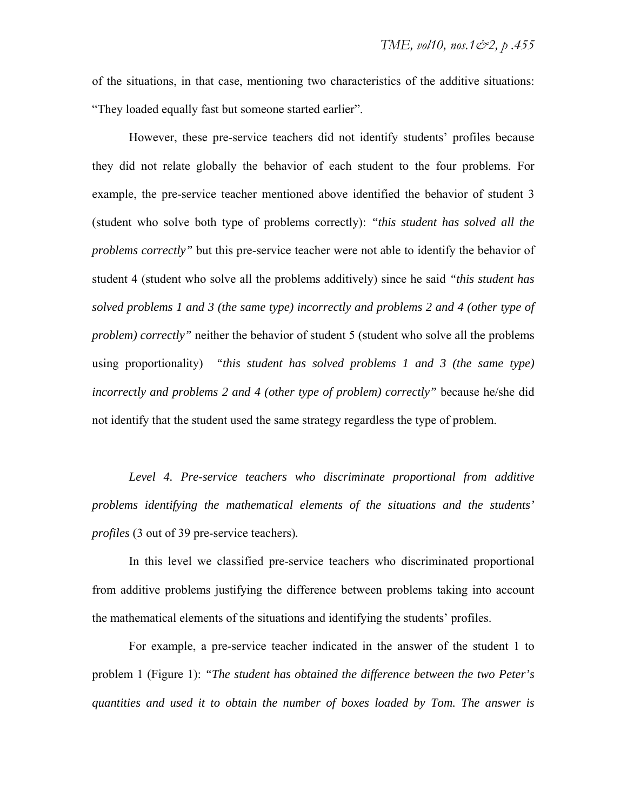of the situations, in that case, mentioning two characteristics of the additive situations: "They loaded equally fast but someone started earlier".

However, these pre-service teachers did not identify students' profiles because they did not relate globally the behavior of each student to the four problems. For example, the pre-service teacher mentioned above identified the behavior of student 3 (student who solve both type of problems correctly): *"this student has solved all the problems correctly"* but this pre-service teacher were not able to identify the behavior of student 4 (student who solve all the problems additively) since he said *"this student has solved problems 1 and 3 (the same type) incorrectly and problems 2 and 4 (other type of problem) correctly*" neither the behavior of student 5 (student who solve all the problems using proportionality) *"this student has solved problems 1 and 3 (the same type) incorrectly and problems 2 and 4 (other type of problem) correctly"* because he/she did not identify that the student used the same strategy regardless the type of problem.

*Level 4. Pre-service teachers who discriminate proportional from additive problems identifying the mathematical elements of the situations and the students' profiles* (3 out of 39 pre-service teachers)*.* 

In this level we classified pre-service teachers who discriminated proportional from additive problems justifying the difference between problems taking into account the mathematical elements of the situations and identifying the students' profiles.

For example, a pre-service teacher indicated in the answer of the student 1 to problem 1 (Figure 1): *"The student has obtained the difference between the two Peter's quantities and used it to obtain the number of boxes loaded by Tom. The answer is*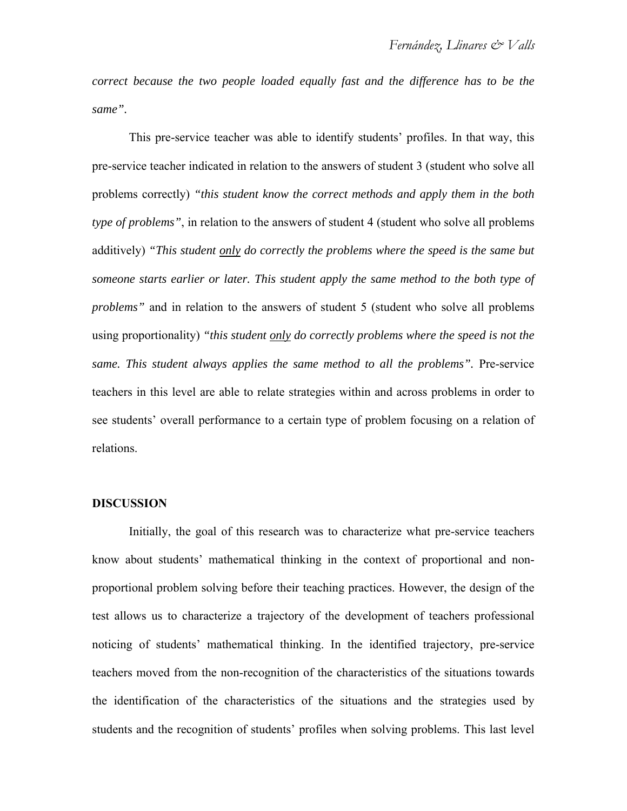*correct because the two people loaded equally fast and the difference has to be the same".* 

This pre-service teacher was able to identify students' profiles. In that way, this pre-service teacher indicated in relation to the answers of student 3 (student who solve all problems correctly) *"this student know the correct methods and apply them in the both type of problems"*, in relation to the answers of student 4 (student who solve all problems additively) *"This student only do correctly the problems where the speed is the same but someone starts earlier or later. This student apply the same method to the both type of problems*" and in relation to the answers of student 5 (student who solve all problems using proportionality) *"this student only do correctly problems where the speed is not the same. This student always applies the same method to all the problems".* Pre-service teachers in this level are able to relate strategies within and across problems in order to see students' overall performance to a certain type of problem focusing on a relation of relations.

#### **DISCUSSION**

Initially, the goal of this research was to characterize what pre-service teachers know about students' mathematical thinking in the context of proportional and nonproportional problem solving before their teaching practices. However, the design of the test allows us to characterize a trajectory of the development of teachers professional noticing of students' mathematical thinking. In the identified trajectory, pre-service teachers moved from the non-recognition of the characteristics of the situations towards the identification of the characteristics of the situations and the strategies used by students and the recognition of students' profiles when solving problems. This last level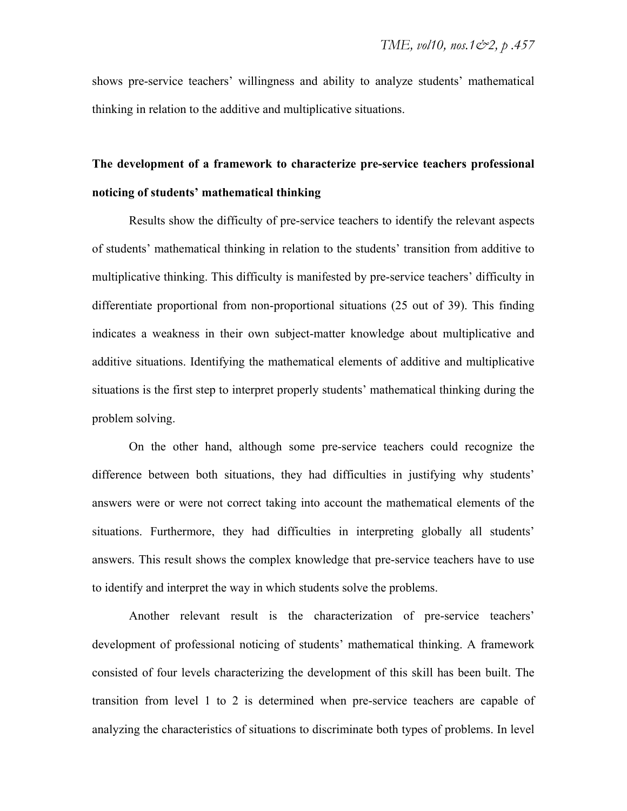shows pre-service teachers' willingness and ability to analyze students' mathematical thinking in relation to the additive and multiplicative situations.

## **The development of a framework to characterize pre-service teachers professional noticing of students' mathematical thinking**

Results show the difficulty of pre-service teachers to identify the relevant aspects of students' mathematical thinking in relation to the students' transition from additive to multiplicative thinking. This difficulty is manifested by pre-service teachers' difficulty in differentiate proportional from non-proportional situations (25 out of 39). This finding indicates a weakness in their own subject-matter knowledge about multiplicative and additive situations. Identifying the mathematical elements of additive and multiplicative situations is the first step to interpret properly students' mathematical thinking during the problem solving.

On the other hand, although some pre-service teachers could recognize the difference between both situations, they had difficulties in justifying why students' answers were or were not correct taking into account the mathematical elements of the situations. Furthermore, they had difficulties in interpreting globally all students' answers. This result shows the complex knowledge that pre-service teachers have to use to identify and interpret the way in which students solve the problems.

Another relevant result is the characterization of pre-service teachers' development of professional noticing of students' mathematical thinking. A framework consisted of four levels characterizing the development of this skill has been built. The transition from level 1 to 2 is determined when pre-service teachers are capable of analyzing the characteristics of situations to discriminate both types of problems. In level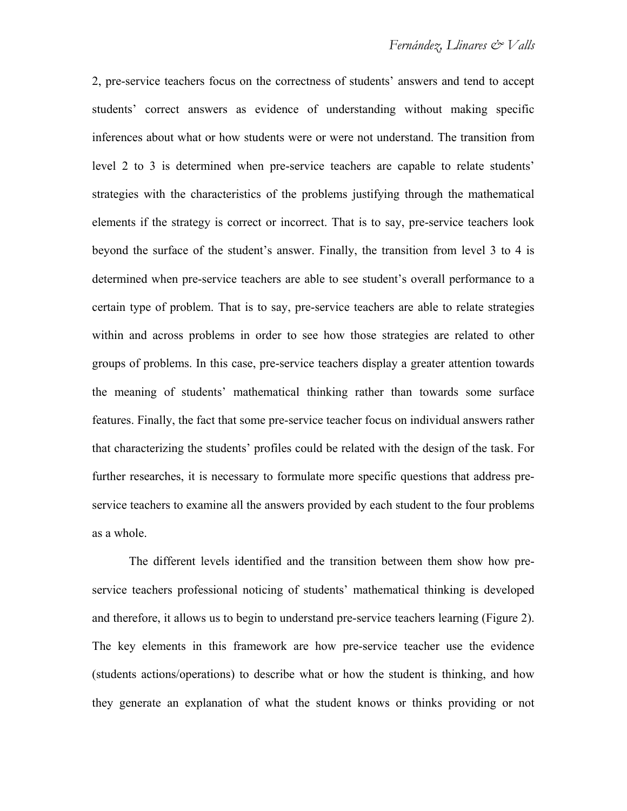2, pre-service teachers focus on the correctness of students' answers and tend to accept students' correct answers as evidence of understanding without making specific inferences about what or how students were or were not understand. The transition from level 2 to 3 is determined when pre-service teachers are capable to relate students' strategies with the characteristics of the problems justifying through the mathematical elements if the strategy is correct or incorrect. That is to say, pre-service teachers look beyond the surface of the student's answer. Finally, the transition from level 3 to 4 is determined when pre-service teachers are able to see student's overall performance to a certain type of problem. That is to say, pre-service teachers are able to relate strategies within and across problems in order to see how those strategies are related to other groups of problems. In this case, pre-service teachers display a greater attention towards the meaning of students' mathematical thinking rather than towards some surface features. Finally, the fact that some pre-service teacher focus on individual answers rather that characterizing the students' profiles could be related with the design of the task. For further researches, it is necessary to formulate more specific questions that address preservice teachers to examine all the answers provided by each student to the four problems as a whole.

The different levels identified and the transition between them show how preservice teachers professional noticing of students' mathematical thinking is developed and therefore, it allows us to begin to understand pre-service teachers learning (Figure 2). The key elements in this framework are how pre-service teacher use the evidence (students actions/operations) to describe what or how the student is thinking, and how they generate an explanation of what the student knows or thinks providing or not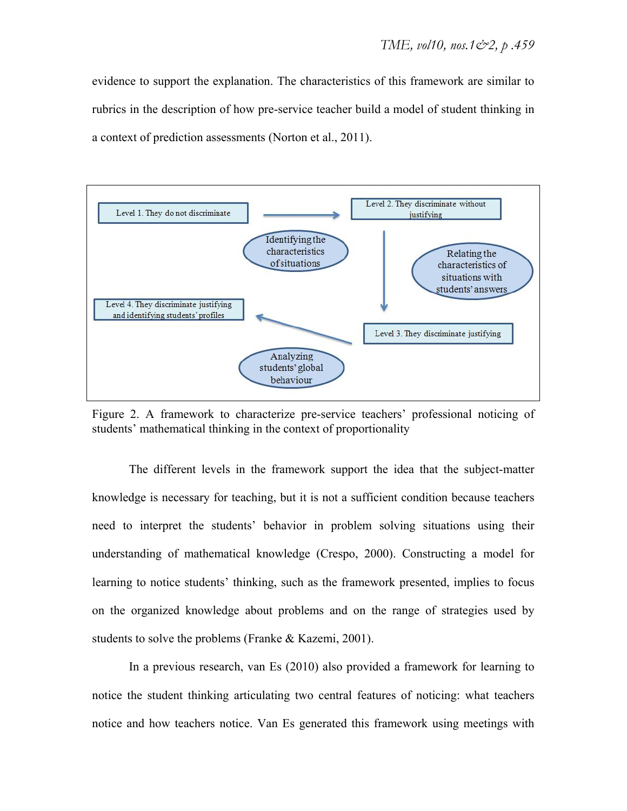evidence to support the explanation. The characteristics of this framework are similar to rubrics in the description of how pre-service teacher build a model of student thinking in a context of prediction assessments (Norton et al., 2011).



Figure 2. A framework to characterize pre-service teachers' professional noticing of students' mathematical thinking in the context of proportionality

The different levels in the framework support the idea that the subject-matter knowledge is necessary for teaching, but it is not a sufficient condition because teachers need to interpret the students' behavior in problem solving situations using their understanding of mathematical knowledge (Crespo, 2000). Constructing a model for learning to notice students' thinking, such as the framework presented, implies to focus on the organized knowledge about problems and on the range of strategies used by students to solve the problems (Franke & Kazemi, 2001).

In a previous research, van Es (2010) also provided a framework for learning to notice the student thinking articulating two central features of noticing: what teachers notice and how teachers notice. Van Es generated this framework using meetings with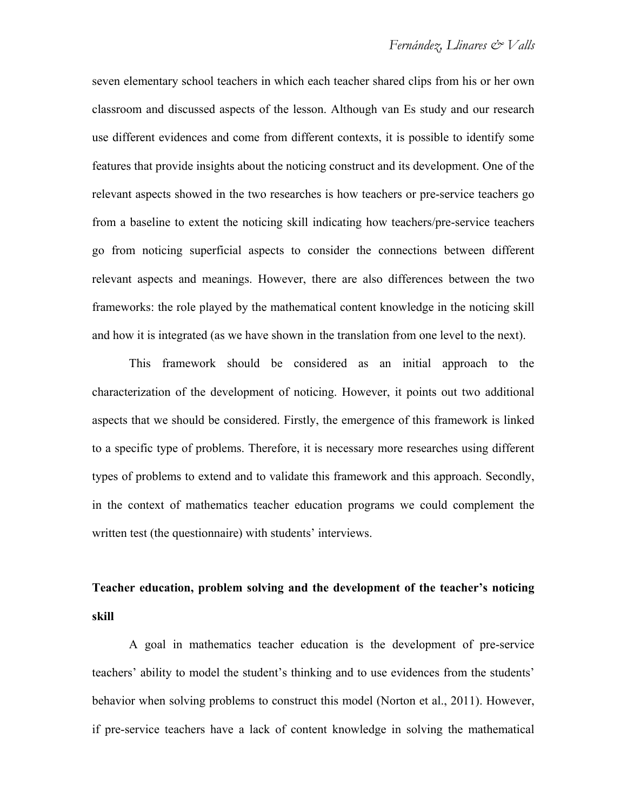seven elementary school teachers in which each teacher shared clips from his or her own classroom and discussed aspects of the lesson. Although van Es study and our research use different evidences and come from different contexts, it is possible to identify some features that provide insights about the noticing construct and its development. One of the relevant aspects showed in the two researches is how teachers or pre-service teachers go from a baseline to extent the noticing skill indicating how teachers/pre-service teachers go from noticing superficial aspects to consider the connections between different relevant aspects and meanings. However, there are also differences between the two frameworks: the role played by the mathematical content knowledge in the noticing skill and how it is integrated (as we have shown in the translation from one level to the next).

This framework should be considered as an initial approach to the characterization of the development of noticing. However, it points out two additional aspects that we should be considered. Firstly, the emergence of this framework is linked to a specific type of problems. Therefore, it is necessary more researches using different types of problems to extend and to validate this framework and this approach. Secondly, in the context of mathematics teacher education programs we could complement the written test (the questionnaire) with students' interviews.

## **Teacher education, problem solving and the development of the teacher's noticing skill**

A goal in mathematics teacher education is the development of pre-service teachers' ability to model the student's thinking and to use evidences from the students' behavior when solving problems to construct this model (Norton et al., 2011). However, if pre-service teachers have a lack of content knowledge in solving the mathematical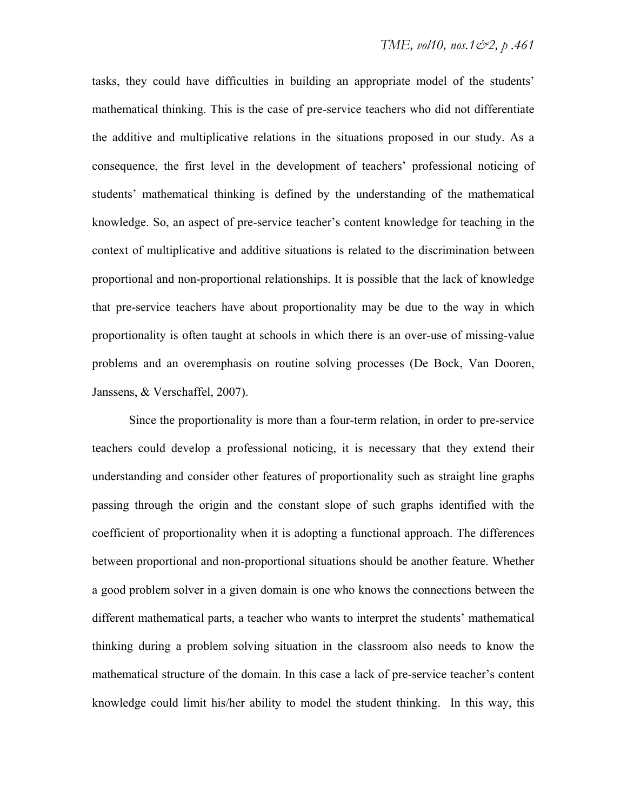tasks, they could have difficulties in building an appropriate model of the students' mathematical thinking. This is the case of pre-service teachers who did not differentiate the additive and multiplicative relations in the situations proposed in our study. As a consequence, the first level in the development of teachers' professional noticing of students' mathematical thinking is defined by the understanding of the mathematical knowledge. So, an aspect of pre-service teacher's content knowledge for teaching in the context of multiplicative and additive situations is related to the discrimination between proportional and non-proportional relationships. It is possible that the lack of knowledge that pre-service teachers have about proportionality may be due to the way in which proportionality is often taught at schools in which there is an over-use of missing-value problems and an overemphasis on routine solving processes (De Bock, Van Dooren, Janssens, & Verschaffel, 2007).

Since the proportionality is more than a four-term relation, in order to pre-service teachers could develop a professional noticing, it is necessary that they extend their understanding and consider other features of proportionality such as straight line graphs passing through the origin and the constant slope of such graphs identified with the coefficient of proportionality when it is adopting a functional approach. The differences between proportional and non-proportional situations should be another feature. Whether a good problem solver in a given domain is one who knows the connections between the different mathematical parts, a teacher who wants to interpret the students' mathematical thinking during a problem solving situation in the classroom also needs to know the mathematical structure of the domain. In this case a lack of pre-service teacher's content knowledge could limit his/her ability to model the student thinking. In this way, this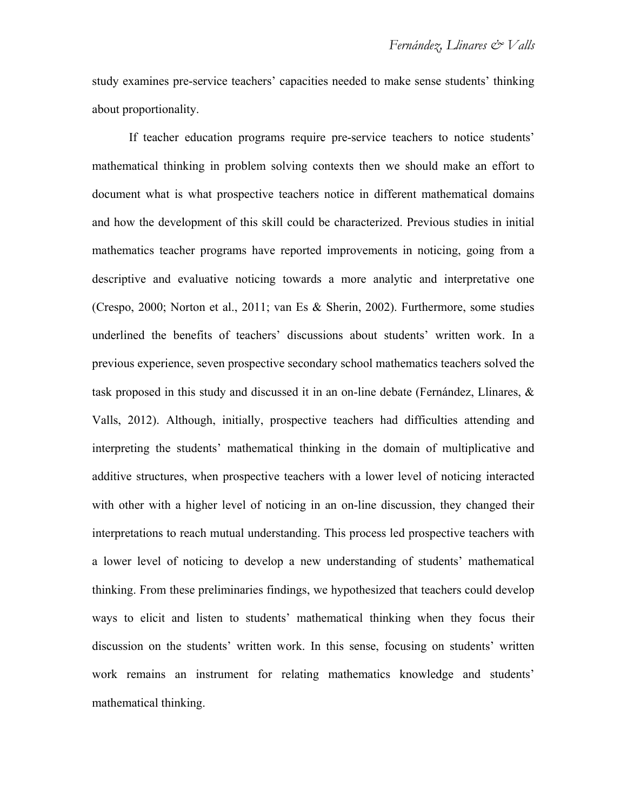study examines pre-service teachers' capacities needed to make sense students' thinking about proportionality.

If teacher education programs require pre-service teachers to notice students' mathematical thinking in problem solving contexts then we should make an effort to document what is what prospective teachers notice in different mathematical domains and how the development of this skill could be characterized. Previous studies in initial mathematics teacher programs have reported improvements in noticing, going from a descriptive and evaluative noticing towards a more analytic and interpretative one (Crespo, 2000; Norton et al., 2011; van Es & Sherin, 2002). Furthermore, some studies underlined the benefits of teachers' discussions about students' written work. In a previous experience, seven prospective secondary school mathematics teachers solved the task proposed in this study and discussed it in an on-line debate (Fernández, Llinares, & Valls, 2012). Although, initially, prospective teachers had difficulties attending and interpreting the students' mathematical thinking in the domain of multiplicative and additive structures, when prospective teachers with a lower level of noticing interacted with other with a higher level of noticing in an on-line discussion, they changed their interpretations to reach mutual understanding. This process led prospective teachers with a lower level of noticing to develop a new understanding of students' mathematical thinking. From these preliminaries findings, we hypothesized that teachers could develop ways to elicit and listen to students' mathematical thinking when they focus their discussion on the students' written work. In this sense, focusing on students' written work remains an instrument for relating mathematics knowledge and students' mathematical thinking.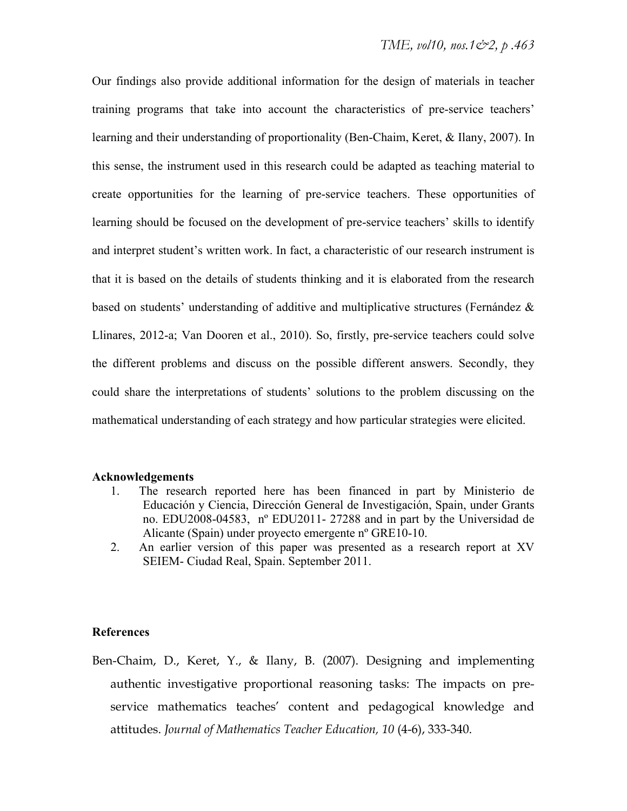Our findings also provide additional information for the design of materials in teacher training programs that take into account the characteristics of pre-service teachers' learning and their understanding of proportionality (Ben-Chaim, Keret, & Ilany, 2007). In this sense, the instrument used in this research could be adapted as teaching material to create opportunities for the learning of pre-service teachers. These opportunities of learning should be focused on the development of pre-service teachers' skills to identify and interpret student's written work. In fact, a characteristic of our research instrument is that it is based on the details of students thinking and it is elaborated from the research based on students' understanding of additive and multiplicative structures (Fernández & Llinares, 2012-a; Van Dooren et al., 2010). So, firstly, pre-service teachers could solve the different problems and discuss on the possible different answers. Secondly, they could share the interpretations of students' solutions to the problem discussing on the mathematical understanding of each strategy and how particular strategies were elicited.

#### **Acknowledgements**

- 1. The research reported here has been financed in part by Ministerio de Educación y Ciencia, Dirección General de Investigación, Spain, under Grants no. EDU2008-04583, nº EDU2011- 27288 and in part by the Universidad de Alicante (Spain) under proyecto emergente nº GRE10-10.
- 2. An earlier version of this paper was presented as a research report at XV SEIEM- Ciudad Real, Spain. September 2011.

#### **References**

Ben-Chaim, D., Keret, Y., & Ilany, B. (2007). Designing and implementing authentic investigative proportional reasoning tasks: The impacts on preservice mathematics teaches' content and pedagogical knowledge and attitudes. *Journal of Mathematics Teacher Education, 10* (4-6), 333-340.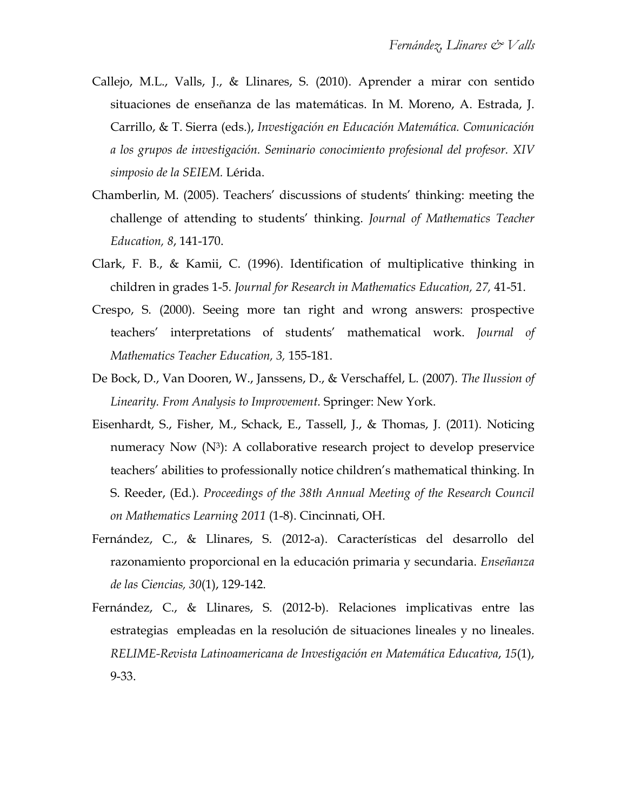- Callejo, M.L., Valls, J., & Llinares, S. (2010). Aprender a mirar con sentido situaciones de enseñanza de las matemáticas. In M. Moreno, A. Estrada, J. Carrillo, & T. Sierra (eds.), *Investigación en Educación Matemática. Comunicación a los grupos de investigación. Seminario conocimiento profesional del profesor. XIV simposio de la SEIEM.* Lérida.
- Chamberlin, M. (2005). Teachers' discussions of students' thinking: meeting the challenge of attending to students' thinking. *Journal of Mathematics Teacher Education, 8*, 141-170.
- Clark, F. B., & Kamii, C. (1996). Identification of multiplicative thinking in children in grades 1-5. *Journal for Research in Mathematics Education, 27,* 41-51.
- Crespo, S. (2000). Seeing more tan right and wrong answers: prospective teachers' interpretations of students' mathematical work. *Journal of Mathematics Teacher Education, 3,* 155-181.
- De Bock, D., Van Dooren, W., Janssens, D., & Verschaffel, L. (2007). *The Ilussion of Linearity. From Analysis to Improvement.* Springer: New York.
- Eisenhardt, S., Fisher, M., Schack, E., Tassell, J., & Thomas, J. (2011). Noticing numeracy Now  $(N^3)$ : A collaborative research project to develop preservice teachers' abilities to professionally notice children's mathematical thinking. In S. Reeder, (Ed.). *Proceedings of the 38th Annual Meeting of the Research Council on Mathematics Learning 2011* (1-8). Cincinnati, OH.
- Fernández, C., & Llinares, S. (2012-a). Características del desarrollo del razonamiento proporcional en la educación primaria y secundaria. *Enseñanza de las Ciencias, 30*(1), 129-142.
- Fernández, C., & Llinares, S. (2012-b). Relaciones implicativas entre las estrategias empleadas en la resolución de situaciones lineales y no lineales. *RELIME-Revista Latinoamericana de Investigación en Matemática Educativa*, *15*(1), 9-33.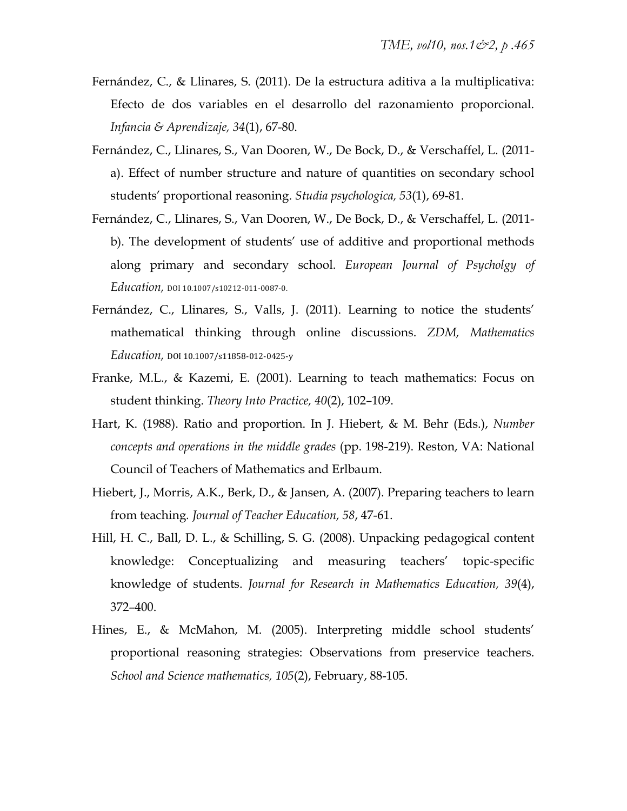- Fernández, C., & Llinares, S. (2011). De la estructura aditiva a la multiplicativa: Efecto de dos variables en el desarrollo del razonamiento proporcional. *Infancia & Aprendizaje, 34*(1), 67-80.
- Fernández, C., Llinares, S., Van Dooren, W., De Bock, D., & Verschaffel, L. (2011 a). Effect of number structure and nature of quantities on secondary school students' proportional reasoning. *Studia psychologica, 53*(1), 69-81.
- Fernández, C., Llinares, S., Van Dooren, W., De Bock, D., & Verschaffel, L. (2011 b). The development of students' use of additive and proportional methods along primary and secondary school. *European Journal of Psycholgy of Education,* DOI 10.1007/s10212‐011‐0087‐0.
- Fernández, C., Llinares, S., Valls, J. (2011). Learning to notice the students' mathematical thinking through online discussions. *ZDM, Mathematics Education,* DOI 10.1007/s11858‐012‐0425‐y
- Franke, M.L., & Kazemi, E. (2001). Learning to teach mathematics: Focus on student thinking. *Theory Into Practice, 40*(2), 102–109.
- Hart, K. (1988). Ratio and proportion. In J. Hiebert, & M. Behr (Eds.), *Number concepts and operations in the middle grades* (pp. 198-219). Reston, VA: National Council of Teachers of Mathematics and Erlbaum.
- Hiebert, J., Morris, A.K., Berk, D., & Jansen, A. (2007). Preparing teachers to learn from teaching*. Journal of Teacher Education, 58*, 47-61.
- Hill, H. C., Ball, D. L., & Schilling, S. G. (2008). Unpacking pedagogical content knowledge: Conceptualizing and measuring teachers' topic-specific knowledge of students. *Journal for Research in Mathematics Education, 39*(4), 372–400.
- Hines, E., & McMahon, M. (2005). Interpreting middle school students' proportional reasoning strategies: Observations from preservice teachers. *School and Science mathematics, 105*(2), February, 88-105.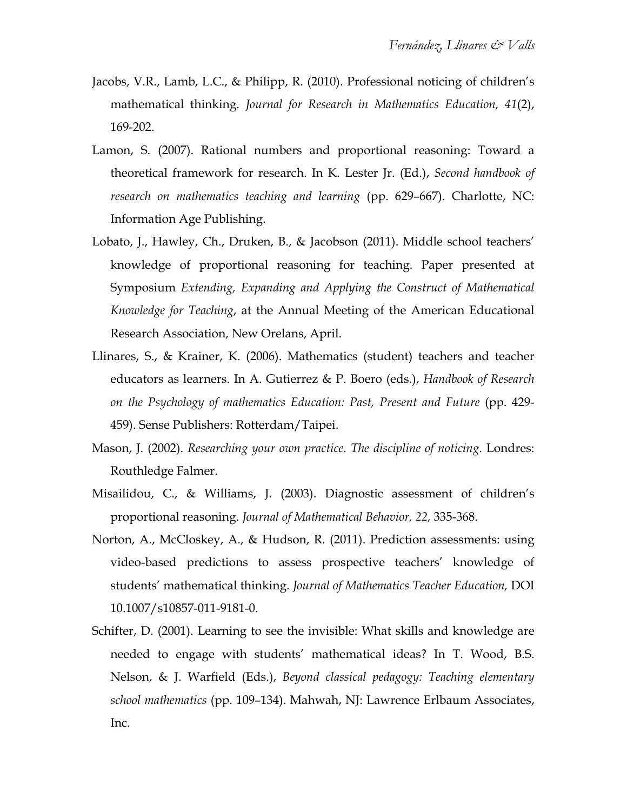- Jacobs, V.R., Lamb, L.C., & Philipp, R. (2010). Professional noticing of children's mathematical thinking. *Journal for Research in Mathematics Education, 41*(2), 169-202.
- Lamon, S. (2007). Rational numbers and proportional reasoning: Toward a theoretical framework for research. In K. Lester Jr. (Ed.), *Second handbook of research on mathematics teaching and learning* (pp. 629–667). Charlotte, NC: Information Age Publishing.
- Lobato, J., Hawley, Ch., Druken, B., & Jacobson (2011). Middle school teachers' knowledge of proportional reasoning for teaching. Paper presented at Symposium *Extending, Expanding and Applying the Construct of Mathematical Knowledge for Teaching*, at the Annual Meeting of the American Educational Research Association, New Orelans, April.
- Llinares, S., & Krainer, K. (2006). Mathematics (student) teachers and teacher educators as learners. In A. Gutierrez & P. Boero (eds.), *Handbook of Research on the Psychology of mathematics Education: Past, Present and Future* (pp. 429- 459). Sense Publishers: Rotterdam/Taipei.
- Mason, J. (2002). *Researching your own practice. The discipline of noticing*. Londres: Routhledge Falmer.
- Misailidou, C., & Williams, J. (2003). Diagnostic assessment of children's proportional reasoning. *Journal of Mathematical Behavior, 22,* 335-368.
- Norton, A., McCloskey, A., & Hudson, R. (2011). Prediction assessments: using video-based predictions to assess prospective teachers' knowledge of students' mathematical thinking. *Journal of Mathematics Teacher Education,* DOI 10.1007/s10857-011-9181-0.
- Schifter, D. (2001). Learning to see the invisible: What skills and knowledge are needed to engage with students' mathematical ideas? In T. Wood, B.S. Nelson, & J. Warfield (Eds.), *Beyond classical pedagogy: Teaching elementary school mathematics* (pp. 109–134). Mahwah, NJ: Lawrence Erlbaum Associates, Inc.